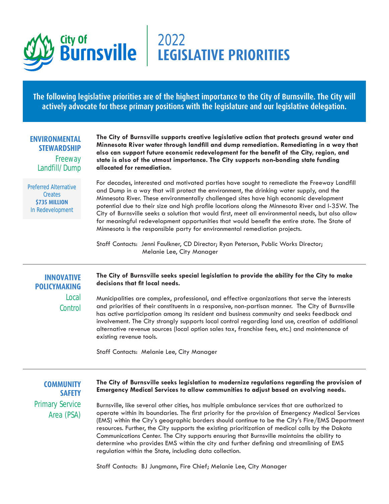

# 2022 **LEGISLATIVE PRIORITIES**

**The following legislative priorities are of the highest importance to the City of Burnsville. The City will actively advocate for these primary positions with the legislature and our legislative delegation.**

#### **ENVIRONMENTAL STEWARDSHIP**

Freeway Landfill/Dump

Preferred Alternative **Creates \$735 MILLION** In Redevelopment

**The City of Burnsville supports creative legislative action that protects ground water and Minnesota River water through landfill and dump remediation. Remediating in a way that also can support future economic redevelopment for the benefit of the City, region, and state is also of the utmost importance. The City supports non-bonding state funding allocated for remediation.** 

For decades, interested and motivated parties have sought to remediate the Freeway Landfill and Dump in a way that will protect the environment, the drinking water supply, and the Minnesota River. These environmentally challenged sites have high economic development potential due to their size and high profile locations along the Minnesota River and I-35W. The City of Burnsville seeks a solution that would first, meet all environmental needs, but also allow for meaningful redevelopment opportunities that would benefit the entire state. The State of Minnesota is the responsible party for environmental remediation projects.

Staff Contacts: Jenni Faulkner, CD Director; Ryan Peterson, Public Works Director; Melanie Lee, City Manager

## **INNOVATIVE POLICYMAKING** Local **Control**

#### **The City of Burnsville seeks special legislation to provide the ability for the City to make decisions that fit local needs.**

Municipalities are complex, professional, and effective organizations that serve the interests and priorities of their constituents in a responsive, non-partisan manner. The City of Burnsville has active participation among its resident and business community and seeks feedback and involvement. The City strongly supports local control regarding land use, creation of additional alternative revenue sources (local option sales tax, franchise fees, etc.) and maintenance of existing revenue tools.

Staff Contacts: Melanie Lee, City Manager

**COMMUNITY SAFETY** Primary Service Area (PSA)

### **The City of Burnsville seeks legislation to modernize regulations regarding the provision of Emergency Medical Services to allow communities to adjust based on evolving needs.**

Burnsville, like several other cities, has multiple ambulance services that are authorized to operate within its boundaries. The first priority for the provision of Emergency Medical Services (EMS) within the City's geographic borders should continue to be the City's Fire/EMS Department resources. Further, the City supports the existing prioritization of medical calls by the Dakota Communications Center. The City supports ensuring that Burnsville maintains the ability to determine who provides EMS within the city and further defining and streamlining of EMS regulation within the State, including data collection.

Staff Contacts: BJ Jungmann, Fire Chief; Melanie Lee, City Manager